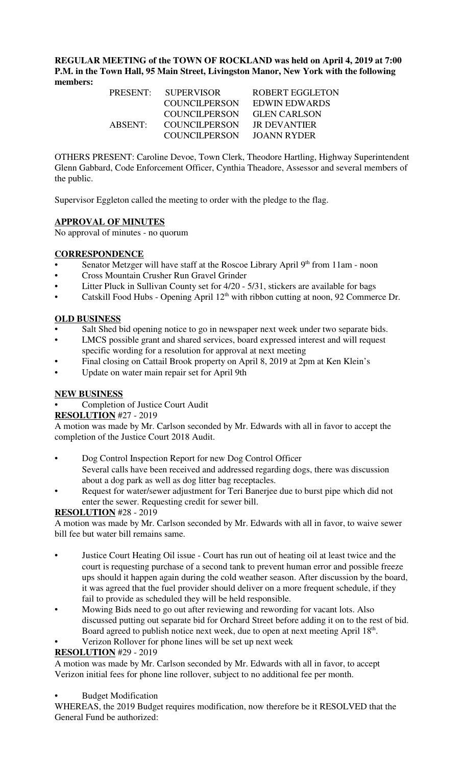**REGULAR MEETING of the TOWN OF ROCKLAND was held on April 4, 2019 at 7:00 P.M. in the Town Hall, 95 Main Street, Livingston Manor, New York with the following members:** 

| <b>PRESENT:</b> | <b>SUPERVISOR</b>    | ROBERT EGGLETON     |
|-----------------|----------------------|---------------------|
|                 | COUNCILPERSON        | EDWIN EDWARDS       |
|                 | COUNCIL PERSON       | <b>GLEN CARLSON</b> |
| ABSENT:         | COUNCIL PERSON       | <b>IR DEVANTIER</b> |
|                 | <b>COUNCILPERSON</b> | JOANN RYDER         |

OTHERS PRESENT: Caroline Devoe, Town Clerk, Theodore Hartling, Highway Superintendent Glenn Gabbard, Code Enforcement Officer, Cynthia Theadore, Assessor and several members of the public.

Supervisor Eggleton called the meeting to order with the pledge to the flag.

## **APPROVAL OF MINUTES**

No approval of minutes - no quorum

#### **CORRESPONDENCE**

- Senator Metzger will have staff at the Roscoe Library April 9<sup>th</sup> from 11am noon
- Cross Mountain Crusher Run Gravel Grinder
- Litter Pluck in Sullivan County set for 4/20 5/31, stickers are available for bags
- Catskill Food Hubs Opening April  $12<sup>th</sup>$  with ribbon cutting at noon, 92 Commerce Dr.

## **OLD BUSINESS**

- Salt Shed bid opening notice to go in newspaper next week under two separate bids.
- LMCS possible grant and shared services, board expressed interest and will request specific wording for a resolution for approval at next meeting
- Final closing on Cattail Brook property on April 8, 2019 at 2pm at Ken Klein's
- Update on water main repair set for April 9th

#### **NEW BUSINESS**

• Completion of Justice Court Audit

#### **RESOLUTION** #27 - 2019

A motion was made by Mr. Carlson seconded by Mr. Edwards with all in favor to accept the completion of the Justice Court 2018 Audit.

- Dog Control Inspection Report for new Dog Control Officer Several calls have been received and addressed regarding dogs, there was discussion about a dog park as well as dog litter bag receptacles.
- Request for water/sewer adjustment for Teri Banerjee due to burst pipe which did not enter the sewer. Requesting credit for sewer bill.

#### **RESOLUTION** #28 - 2019

A motion was made by Mr. Carlson seconded by Mr. Edwards with all in favor, to waive sewer bill fee but water bill remains same.

- Justice Court Heating Oil issue Court has run out of heating oil at least twice and the court is requesting purchase of a second tank to prevent human error and possible freeze ups should it happen again during the cold weather season. After discussion by the board, it was agreed that the fuel provider should deliver on a more frequent schedule, if they fail to provide as scheduled they will be held responsible.
- Mowing Bids need to go out after reviewing and rewording for vacant lots. Also discussed putting out separate bid for Orchard Street before adding it on to the rest of bid. Board agreed to publish notice next week, due to open at next meeting April 18<sup>th</sup>.
- Verizon Rollover for phone lines will be set up next week

# **RESOLUTION** #29 - 2019

A motion was made by Mr. Carlson seconded by Mr. Edwards with all in favor, to accept Verizon initial fees for phone line rollover, subject to no additional fee per month.

• Budget Modification

WHEREAS, the 2019 Budget requires modification, now therefore be it RESOLVED that the General Fund be authorized: